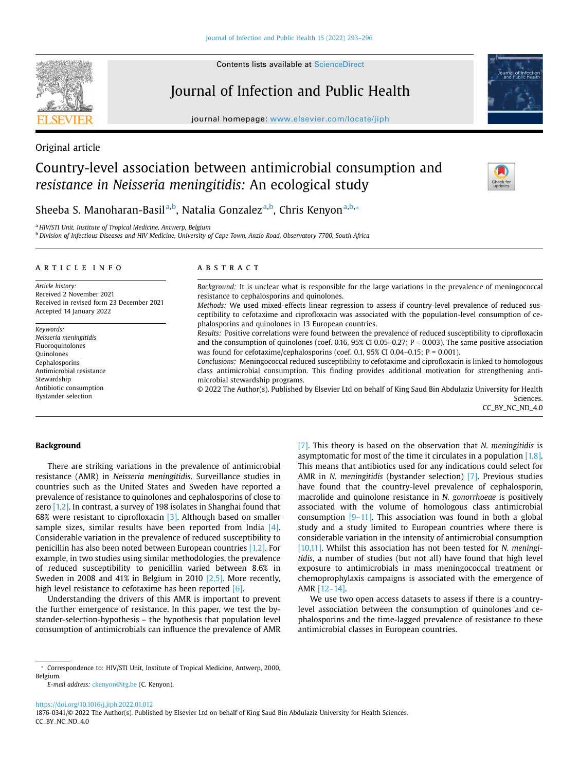Contents lists available at [ScienceDirect](http://www.sciencedirect.com/science/journal/18760341) 

# Journal of Infection and Public Health

journal homepage: <www.elsevier.com/locate/jiph>

Original article

# Country-level association between antimicrobial consumption and *resistance in Neisseria meningitidis:* An ecological study

Sheeba S. Manoharan-Basil<sup>[a,](#page-0-0)[b](#page-0-1)</sup>, N[a](#page-0-0)talia Gonzalez<sup>a,b</sup>, Chris Kenyon<sup>a[,b,](#page-0-1)</sup>\*

<span id="page-0-0"></span><sup>a</sup>*HIV/STI Unit, Institute of Tropical Medicine, Antwerp, Belgium* 

<span id="page-0-1"></span><sup>b</sup>*Division of Infectious Diseases and HIV Medicine, University of Cape Town, Anzio Road, Observatory 7700, South Africa* 

#### article info

*Article history:*  Received 2 November 2021 Received in revised form 23 December 2021 Accepted 14 January 2022

*Keywords: Neisseria meningitidis*  Fluoroquinolones Quinolones Cephalosporins Antimicrobial resistance Stewardship Antibiotic consumption Bystander selection

# ABSTRACT

*Background:* It is unclear what is responsible for the large variations in the prevalence of meningococcal resistance to cephalosporins and quinolones.

*Methods:* We used mixed-effects linear regression to assess if country-level prevalence of reduced susceptibility to cefotaxime and ciprofloxacin was associated with the population-level consumption of cephalosporins and quinolones in 13 European countries.

*Results:* Positive correlations were found between the prevalence of reduced susceptibility to ciprofloxacin and the consumption of quinolones (coef. 0.16,  $95\%$  CI 0.05–0.27; P = 0.003). The same positive association was found for cefotaxime/cephalosporins (coef. 0.1, 95% CI 0.04–0.15;  $P = 0.001$ ).

*Conclusions:* Meningococcal reduced susceptibility to cefotaxime and ciprofloxacin is linked to homologous class antimicrobial consumption. This finding provides additional motivation for strengthening antimicrobial stewardship programs.

© 2022 The Author(s). Published by Elsevier Ltd on behalf of King Saud Bin Abdulaziz University for Health Sciences. CC\_BY\_NC\_ND\_4.0

#### **Background**

There are striking variations in the prevalence of antimicrobial resistance (AMR) in *Neisseria meningitidis*. Surveillance studies in countries such as the United States and Sweden have reported a prevalence of resistance to quinolones and cephalosporins of close to zero [\[1,2\].](#page-3-0) In contrast, a survey of 198 isolates in Shanghai found that 68% were resistant to ciprofloxacin [\[3\]](#page-3-1). Although based on smaller sample sizes, similar results have been reported from India [\[4\].](#page-3-2) Considerable variation in the prevalence of reduced susceptibility to penicillin has also been noted between European countries [\[1,2\].](#page-3-0) For example, in two studies using similar methodologies, the prevalence of reduced susceptibility to penicillin varied between 8.6% in Sweden in 2008 and 41% in Belgium in 2010 [\[2,5\]](#page-3-3). More recently, high level resistance to cefotaxime has been reported [\[6\].](#page-3-4)

Understanding the drivers of this AMR is important to prevent the further emergence of resistance. In this paper, we test the bystander-selection-hypothesis – the hypothesis that population level consumption of antimicrobials can influence the prevalence of AMR

[\[7\]](#page-3-5). This theory is based on the observation that *N. meningitidis* is asymptomatic for most of the time it circulates in a population [\[1,8\].](#page-3-0) This means that antibiotics used for any indications could select for AMR in *N. meningitidis* (bystander selection) [\[7\]](#page-3-5). Previous studies have found that the country-level prevalence of cephalosporin, macrolide and quinolone resistance in *N. gonorrhoeae* is positively associated with the volume of homologous class antimicrobial consumption  $[9-11]$ . This association was found in both a global study and a study limited to European countries where there is considerable variation in the intensity of antimicrobial consumption [\[10,11\].](#page-3-7) Whilst this association has not been tested for *N. meningitidis*, a number of studies (but not all) have found that high level exposure to antimicrobials in mass meningococcal treatment or chemoprophylaxis campaigns is associated with the emergence of AMR [\[12–14\]](#page-3-8).

We use two open access datasets to assess if there is a countrylevel association between the consumption of quinolones and cephalosporins and the time-lagged prevalence of resistance to these antimicrobial classes in European countries.

<https://doi.org/10.1016/j.jiph.2022.01.012>







<span id="page-0-2"></span><sup>⁎</sup> Correspondence to: HIV/STI Unit, Institute of Tropical Medicine, Antwerp, 2000, Belgium.

*E-mail address:* [ckenyon@itg.be](mailto:ckenyon@itg.be) (C. Kenyon).

<sup>1876-0341/© 2022</sup> The Author(s). Published by Elsevier Ltd on behalf of King Saud Bin Abdulaziz University for Health Sciences. CC\_BY\_NC\_ND\_4.0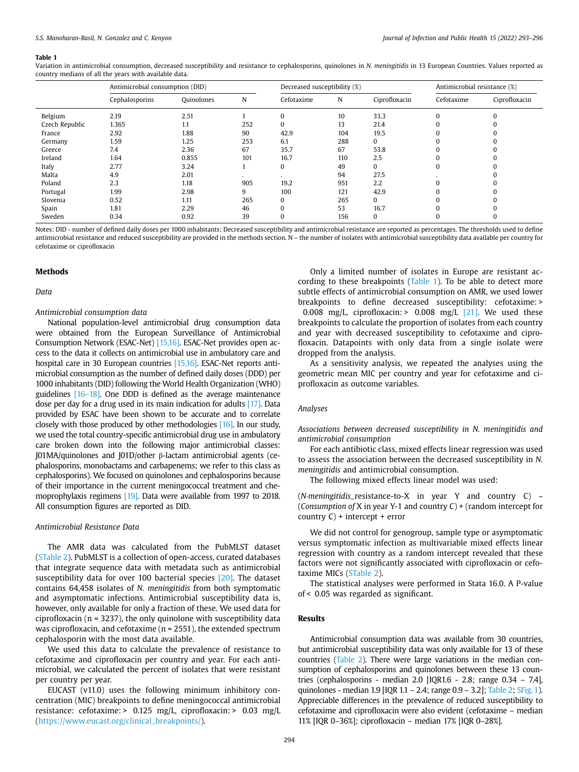#### <span id="page-1-0"></span>**Table 1**

Variation in antimicrobial consumption, decreased susceptibility and resistance to cephalosporins, quinolones in *N. meningitidis* in 13 European Countries. Values reported as country medians of all the years with available data.

|                | Antimicrobial consumption (DID) |            |     | Decreased susceptibility (%) |     |               | Antimicrobial resistance (%) |               |
|----------------|---------------------------------|------------|-----|------------------------------|-----|---------------|------------------------------|---------------|
|                | Cephalosporins                  | Quinolones | N   | Cefotaxime                   | N   | Ciprofloxacin | Cefotaxime                   | Ciprofloxacin |
| Belgium        | 2.19                            | 2.51       |     | 0                            | 10  | 33.3          | $\Omega$                     | $\Omega$      |
| Czech Republic | 1.365                           | 1.1        | 252 | 0                            | 13  | 21.4          | 0                            |               |
| France         | 2.92                            | 1.88       | 90  | 42.9                         | 104 | 19.5          |                              |               |
| Germany        | 1.59                            | 1.25       | 253 | 6.1                          | 288 | 0             |                              |               |
| Greece         | 7.4                             | 2.36       | 67  | 35.7                         | 67  | 53.8          |                              |               |
| Ireland        | 1.64                            | 0.855      | 101 | 16.7                         | 110 | 2.5           |                              |               |
| Italy          | 2.77                            | 3.24       |     | 0                            | 49  | $\Omega$      | $\Omega$                     |               |
| Malta          | 4.9                             | 2.01       |     |                              | 94  | 27.5          |                              |               |
| Poland         | 2.3                             | 1.18       | 905 | 19.2                         | 951 | 2.2           |                              |               |
| Portugal       | 1.99                            | 2.98       | 9   | 100                          | 121 | 42.9          |                              |               |
| Slovenia       | 0.52                            | 1.11       | 265 | 0                            | 265 | $\mathbf{0}$  |                              |               |
| Spain          | 1.81                            | 2.29       | 46  | $\Omega$                     | 53  | 16.7          | $\Omega$                     |               |
| Sweden         | 0.34                            | 0.92       | 39  | 0                            | 156 | 0             | 0                            |               |

Notes: DID - number of defined daily doses per 1000 inhabitants; Decreased susceptibility and antimicrobial resistance are reported as percentages. The thresholds used to define antimicrobial resistance and reduced susceptibility are provided in the methods section. N – the number of isolates with antimicrobial susceptibility data available per country for cefotaxime or ciprofloxacin

#### **Methods**

*Data* 

# *Antimicrobial consumption data*

National population-level antimicrobial drug consumption data were obtained from the European Surveillance of Antimicrobial Consumption Network (ESAC-Net) [\[15,16\]](#page-3-9). ESAC-Net provides open access to the data it collects on antimicrobial use in ambulatory care and hospital care in 30 European countries [\[15,16\].](#page-3-9) ESAC-Net reports antimicrobial consumption as the number of defined daily doses (DDD) per 1000 inhabitants (DID) following the World Health Organization (WHO) guidelines [\[16–18\].](#page-3-10) One DDD is defined as the average maintenance dose per day for a drug used in its main indication for adults [\[17\]](#page-3-11). Data provided by ESAC have been shown to be accurate and to correlate closely with those produced by other methodologies [\[16\].](#page-3-10) In our study, we used the total country-specific antimicrobial drug use in ambulatory care broken down into the following major antimicrobial classes: J01MA/quinolones and J01D/other β-lactam antimicrobial agents (cephalosporins, monobactams and carbapenems; we refer to this class as cephalosporins). We focused on quinolones and cephalosporins because of their importance in the current meningococcal treatment and chemoprophylaxis regimens [\[19\].](#page-3-12) Data were available from 1997 to 2018. All consumption figures are reported as DID.

#### *Antimicrobial Resistance Data*

The AMR data was calculated from the PubMLST dataset (STable 2). PubMLST is a collection of open-access, curated databases that integrate sequence data with metadata such as antimicrobial susceptibility data for over 100 bacterial species [\[20\].](#page-3-13) The dataset contains 64,458 isolates of *N. meningitidis* from both symptomatic and asymptomatic infections. Antimicrobial susceptibility data is, however, only available for only a fraction of these. We used data for ciprofloxacin (n = 3237), the only quinolone with susceptibility data was ciprofloxacin, and cefotaxime ( $n = 2551$ ), the extended spectrum cephalosporin with the most data available.

We used this data to calculate the prevalence of resistance to cefotaxime and ciprofloxacin per country and year. For each antimicrobial, we calculated the percent of isolates that were resistant per country per year.

EUCAST (v11.0) uses the following minimum inhibitory concentration (MIC) breakpoints to define meningococcal antimicrobial resistance: cefotaxime: > 0.125 mg/L, ciprofloxacin: > 0.03 mg/L ([https://www.eucast.org/clinical\\_breakpoints/\)](https://www.eucast.org/clinical_breakpoints/).

Only a limited number of isolates in Europe are resistant according to these breakpoints ([Table 1](#page-1-0)). To be able to detect more subtle effects of antimicrobial consumption on AMR, we used lower breakpoints to define decreased susceptibility: cefotaxime: > 0.008 mg/L, ciprofloxacin:  $> 0.008$  mg/L  $[21]$ . We used these breakpoints to calculate the proportion of isolates from each country and year with decreased susceptibility to cefotaxime and ciprofloxacin. Datapoints with only data from a single isolate were dropped from the analysis.

As a sensitivity analysis, we repeated the analyses using the geometric mean MIC per country and year for cefotaxime and ciprofloxacin as outcome variables.

#### *Analyses*

*Associations between decreased susceptibility in N. meningitidis and antimicrobial consumption* 

For each antibiotic class, mixed effects linear regression was used to assess the association between the decreased susceptibility in *N. meningitidis* and antimicrobial consumption.

The following mixed effects linear model was used:

(*N·meningitidis*\_resistance-to-X in year Y and country C) ~ (*Consumption of* X in year Y-1 and country C) + (random intercept for country C) + intercept + error

We did not control for genogroup, sample type or asymptomatic versus symptomatic infection as multivariable mixed effects linear regression with country as a random intercept revealed that these factors were not significantly associated with ciprofloxacin or cefotaxime MICs (STable 2).

The statistical analyses were performed in Stata 16.0. A P-value of < 0.05 was regarded as significant.

#### **Results**

Antimicrobial consumption data was available from 30 countries, but antimicrobial susceptibility data was only available for 13 of these countries [\(Table 2\)](#page-2-0). There were large variations in the median consumption of cephalosporins and quinolones between these 13 countries (cephalosporins - median 2.0 [IQR1.6 - 2.8; range 0.34 – 7.4], quinolones - median 1.9 [IQR 1.1 – 2.4; range 0.9 – 3.2]; [Table 2](#page-2-0); SFig. 1). Appreciable differences in the prevalence of reduced susceptibility to cefotaxime and ciprofloxacin were also evident (cefotaxime – median 11% [IQR 0–36%]; ciprofloxacin – median 17% [IQR 0–28%].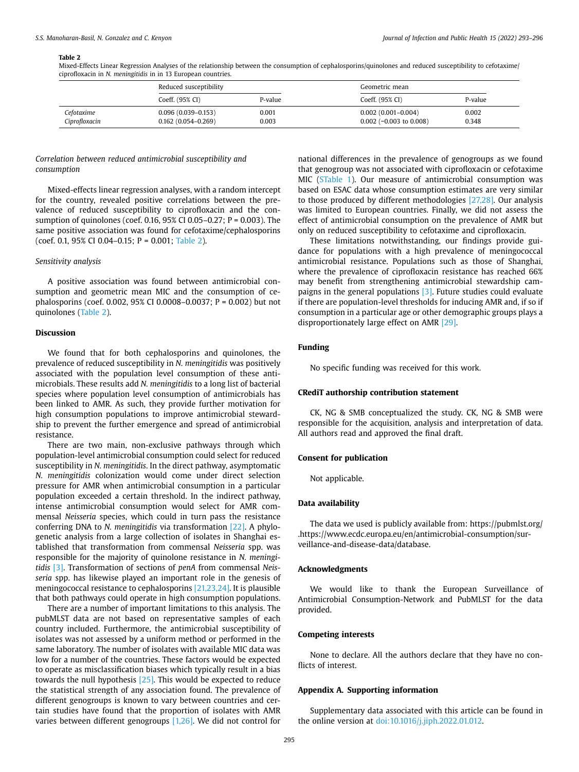#### <span id="page-2-0"></span>**Table 2**

Mixed-Effects Linear Regression Analyses of the relationship between the consumption of cephalosporins/quinolones and reduced susceptibility to cefotaxime/ ciprofloxacin in *N. meningitidis* in in 13 European countries.

|                             | Reduced susceptibility                           |                | Geometric mean                                      |                |  |
|-----------------------------|--------------------------------------------------|----------------|-----------------------------------------------------|----------------|--|
|                             | Coeff. (95% CI)                                  | P-value        | Coeff. (95% CI)                                     | P-value        |  |
| Cefotaxime<br>Ciprofloxacin | $0.096(0.039 - 0.153)$<br>$0.162(0.054 - 0.269)$ | 0.001<br>0.003 | $0.002(0.001 - 0.004)$<br>$0.002$ (-0.003 to 0.008) | 0.002<br>0.348 |  |

# *Correlation between reduced antimicrobial susceptibility and consumption*

Mixed-effects linear regression analyses, with a random intercept for the country, revealed positive correlations between the prevalence of reduced susceptibility to ciprofloxacin and the consumption of quinolones (coef. 0.16, 95% CI 0.05–0.27; P = 0.003). The same positive association was found for cefotaxime/cephalosporins (coef. 0.1, 95% CI 0.04–0.15; P = 0.001; [Table 2](#page-2-0)).

#### *Sensitivity analysis*

A positive association was found between antimicrobial consumption and geometric mean MIC and the consumption of cephalosporins (coef. 0.002, 95% CI 0.0008–0.0037; P = 0.002) but not quinolones ([Table 2\)](#page-2-0).

# **Discussion**

We found that for both cephalosporins and quinolones, the prevalence of reduced susceptibility in *N. meningitidis* was positively associated with the population level consumption of these antimicrobials. These results add *N. meningitidis* to a long list of bacterial species where population level consumption of antimicrobials has been linked to AMR. As such, they provide further motivation for high consumption populations to improve antimicrobial stewardship to prevent the further emergence and spread of antimicrobial resistance.

There are two main, non-exclusive pathways through which population-level antimicrobial consumption could select for reduced susceptibility in *N. meningitidis*. In the direct pathway, asymptomatic *N. meningitidis* colonization would come under direct selection pressure for AMR when antimicrobial consumption in a particular population exceeded a certain threshold. In the indirect pathway, intense antimicrobial consumption would select for AMR commensal *Neisseria* species, which could in turn pass the resistance conferring DNA to *N. meningitidis* via transformation [\[22\].](#page-3-15) A phylogenetic analysis from a large collection of isolates in Shanghai established that transformation from commensal *Neisseria* spp. was responsible for the majority of quinolone resistance in *N. meningitidis* [\[3\]](#page-3-1). Transformation of sections of *penA* from commensal *Neisseria* spp. has likewise played an important role in the genesis of meningococcal resistance to cephalosporins [\[21,23,24\]](#page-3-14). It is plausible that both pathways could operate in high consumption populations.

There are a number of important limitations to this analysis. The pubMLST data are not based on representative samples of each country included. Furthermore, the antimicrobial susceptibility of isolates was not assessed by a uniform method or performed in the same laboratory. The number of isolates with available MIC data was low for a number of the countries. These factors would be expected to operate as misclassification biases which typically result in a bias towards the null hypothesis [\[25\]](#page-3-16). This would be expected to reduce the statistical strength of any association found. The prevalence of different genogroups is known to vary between countries and certain studies have found that the proportion of isolates with AMR varies between different genogroups [\[1,26\]](#page-3-0). We did not control for

national differences in the prevalence of genogroups as we found that genogroup was not associated with ciprofloxacin or cefotaxime MIC (STable 1). Our measure of antimicrobial consumption was based on ESAC data whose consumption estimates are very similar to those produced by different methodologies [\[27,28\].](#page-3-17) Our analysis was limited to European countries. Finally, we did not assess the effect of antimicrobial consumption on the prevalence of AMR but only on reduced susceptibility to cefotaxime and ciprofloxacin.

These limitations notwithstanding, our findings provide guidance for populations with a high prevalence of meningococcal antimicrobial resistance. Populations such as those of Shanghai, where the prevalence of ciprofloxacin resistance has reached 66% may benefit from strengthening antimicrobial stewardship campaigns in the general populations  $[3]$ . Future studies could evaluate if there are population-level thresholds for inducing AMR and, if so if consumption in a particular age or other demographic groups plays a disproportionately large effect on AMR [\[29\]](#page-3-18).

# **Funding**

No specific funding was received for this work.

# **CRediT authorship contribution statement**

CK, NG & SMB conceptualized the study. CK, NG & SMB were responsible for the acquisition, analysis and interpretation of data. All authors read and approved the final draft.

# **Consent for publication**

Not applicable.

#### **Data availability**

The data we used is publicly available from: https://pubmlst.org/ .https://www.ecdc.europa.eu/en/antimicrobial-consumption/surveillance-and-disease-data/database.

### **Acknowledgments**

We would like to thank the European Surveillance of Antimicrobial Consumption-Network and PubMLST for the data provided.

#### **Competing interests**

None to declare. All the authors declare that they have no conflicts of interest.

#### **Appendix A. Supporting information**

Supplementary data associated with this article can be found in the online version at [doi:10.1016/j.jiph.2022.01.012](https://doi.org/10.1016/j.jiph.2022.01.012).